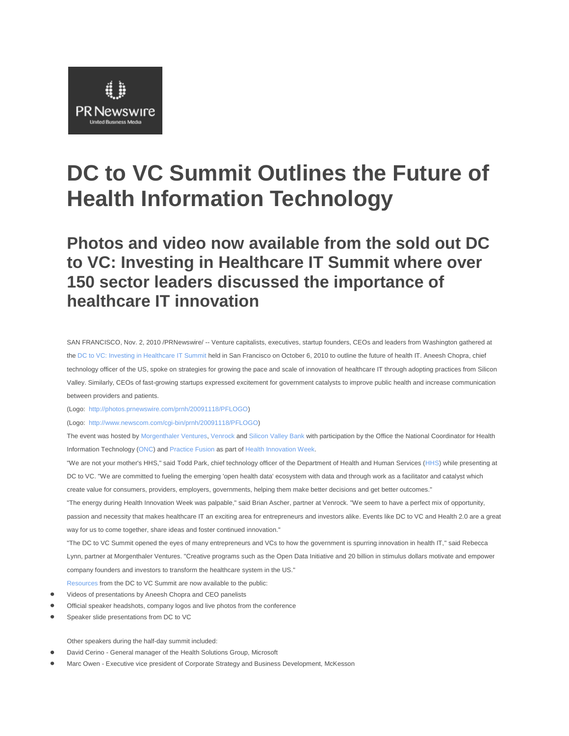# PR Newswire **United Business Media**

## **DC to VC Summit Outlines the Future of Health Information Technology**

**Photos and video now available from the sold out DC to VC: Investing in Healthcare IT Summit where over 150 sector leaders discussed the importance of healthcare IT innovation**

SAN FRANCISCO, Nov. 2, 2010 /PRNewswire/ -- Venture capitalists, executives, startup founders, CEOs and leaders from Washington gathered at the DC to VC: Investing in Healthcare IT Summit held in San Francisco on October 6, 2010 to outline the future of health IT. Aneesh Chopra, chief technology officer of the US, spoke on strategies for growing the pace and scale of innovation of healthcare IT through adopting practices from Silicon Valley. Similarly, CEOs of fast-growing startups expressed excitement for government catalysts to improve public health and increase communication between providers and patients.

(Logo: http://photos.prnewswire.com/prnh/20091118/PFLOGO)

(Logo: http://www.newscom.com/cgi-bin/prnh/20091118/PFLOGO)

The event was hosted by Morgenthaler Ventures, Venrock and Silicon Valley Bank with participation by the Office the National Coordinator for Health Information Technology (ONC) and Practice Fusion as part of Health Innovation Week.

"We are not your mother's HHS," said Todd Park, chief technology officer of the Department of Health and Human Services (HHS) while presenting at DC to VC. "We are committed to fueling the emerging 'open health data' ecosystem with data and through work as a facilitator and catalyst which create value for consumers, providers, employers, governments, helping them make better decisions and get better outcomes." "The energy during Health Innovation Week was palpable," said Brian Ascher, partner at Venrock. "We seem to have a perfect mix of opportunity,

passion and necessity that makes healthcare IT an exciting area for entrepreneurs and investors alike. Events like DC to VC and Health 2.0 are a great way for us to come together, share ideas and foster continued innovation."

"The DC to VC Summit opened the eyes of many entrepreneurs and VCs to how the government is spurring innovation in health IT," said Rebecca Lynn, partner at Morgenthaler Ventures. "Creative programs such as the Open Data Initiative and 20 billion in stimulus dollars motivate and empower company founders and investors to transform the healthcare system in the US."

- Resources from the DC to VC Summit are now available to the public:
- Videos of presentations by Aneesh Chopra and CEO panelists
- Official speaker headshots, company logos and live photos from the conference
- Speaker slide presentations from DC to VC

Other speakers during the half-day summit included:

- David Cerino General manager of the Health Solutions Group, Microsoft
- Marc Owen Executive vice president of Corporate Strategy and Business Development, McKesson